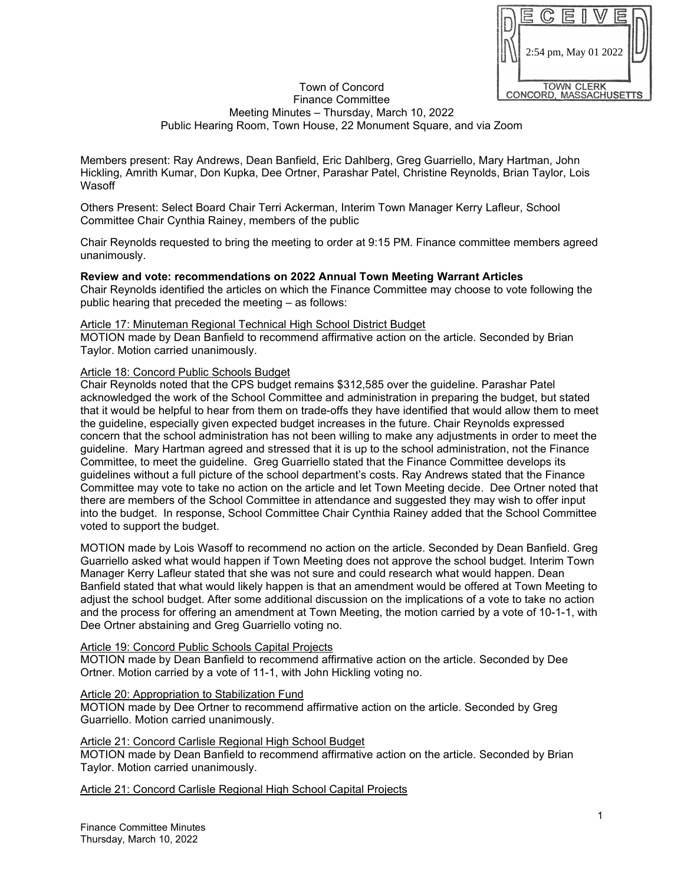

#### Town of Concord Finance Committee Meeting Minutes – Thursday, March 10, 2022 Public Hearing Room, Town House, 22 Monument Square, and via Zoom

Members present: Ray Andrews, Dean Banfield, Eric Dahlberg, Greg Guarriello, Mary Hartman, John Hickling, Amrith Kumar, Don Kupka, Dee Ortner, Parashar Patel, Christine Reynolds, Brian Taylor, Lois Wasoff

Others Present: Select Board Chair Terri Ackerman, Interim Town Manager Kerry Lafleur, School Committee Chair Cynthia Rainey, members of the public

Chair Reynolds requested to bring the meeting to order at 9:15 PM. Finance committee members agreed unanimously.

## **Review and vote: recommendations on 2022 Annual Town Meeting Warrant Articles**

Chair Reynolds identified the articles on which the Finance Committee may choose to vote following the public hearing that preceded the meeting – as follows:

#### Article 17: Minuteman Regional Technical High School District Budget

MOTION made by Dean Banfield to recommend affirmative action on the article. Seconded by Brian Taylor. Motion carried unanimously.

#### Article 18: Concord Public Schools Budget

Chair Reynolds noted that the CPS budget remains \$312,585 over the guideline. Parashar Patel acknowledged the work of the School Committee and administration in preparing the budget, but stated that it would be helpful to hear from them on trade-offs they have identified that would allow them to meet the guideline, especially given expected budget increases in the future. Chair Reynolds expressed concern that the school administration has not been willing to make any adjustments in order to meet the guideline. Mary Hartman agreed and stressed that it is up to the school administration, not the Finance Committee, to meet the guideline. Greg Guarriello stated that the Finance Committee develops its guidelines without a full picture of the school department's costs. Ray Andrews stated that the Finance Committee may vote to take no action on the article and let Town Meeting decide. Dee Ortner noted that there are members of the School Committee in attendance and suggested they may wish to offer input into the budget. In response, School Committee Chair Cynthia Rainey added that the School Committee voted to support the budget.

MOTION made by Lois Wasoff to recommend no action on the article. Seconded by Dean Banfield. Greg Guarriello asked what would happen if Town Meeting does not approve the school budget. Interim Town Manager Kerry Lafleur stated that she was not sure and could research what would happen. Dean Banfield stated that what would likely happen is that an amendment would be offered at Town Meeting to adjust the school budget. After some additional discussion on the implications of a vote to take no action and the process for offering an amendment at Town Meeting, the motion carried by a vote of 10-1-1, with Dee Ortner abstaining and Greg Guarriello voting no.

Article 19: Concord Public Schools Capital Projects

MOTION made by Dean Banfield to recommend affirmative action on the article. Seconded by Dee Ortner. Motion carried by a vote of 11-1, with John Hickling voting no.

#### Article 20: Appropriation to Stabilization Fund

MOTION made by Dee Ortner to recommend affirmative action on the article. Seconded by Greg Guarriello. Motion carried unanimously.

## Article 21: Concord Carlisle Regional High School Budget

MOTION made by Dean Banfield to recommend affirmative action on the article. Seconded by Brian Taylor. Motion carried unanimously.

Article 21: Concord Carlisle Regional High School Capital Projects